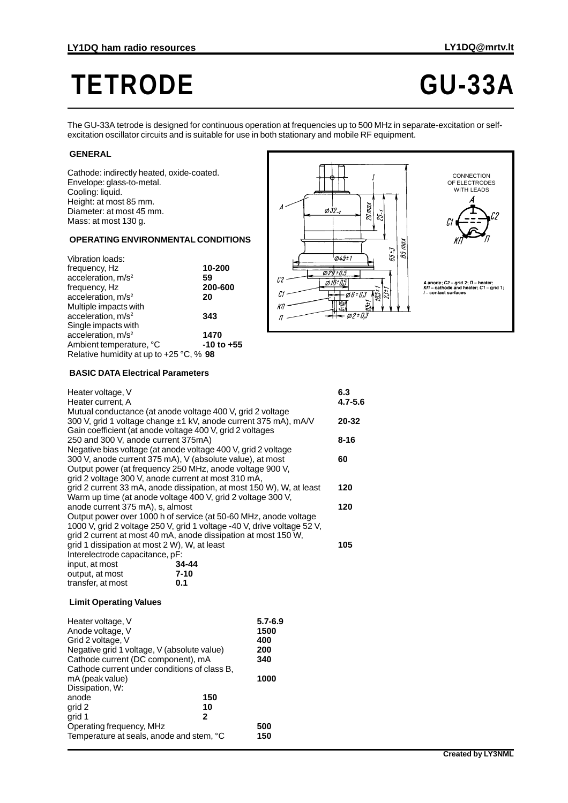# **TETRODE GU-33A**

The GU-33A tetrode is designed for continuous operation at frequencies up to 500 MHz in separate-excitation or selfexcitation oscillator circuits and is suitable for use in both stationary and mobile RF equipment.

#### **GENERAL**

Cathode: indirectly heated, oxide-coated. Envelope: glass-to-metal. Cooling: liquid. Height: at most 85 mm. Diameter: at most 45 mm. Mass: at most 130 g.

## **OPERATING ENVIRONMENTAL CONDITIONS**

| <b>Vibration loads:</b>                 |            |
|-----------------------------------------|------------|
| frequency, Hz                           | 10-200     |
| acceleration, m/s <sup>2</sup>          | 59         |
| frequency, Hz                           | 200-600    |
| acceleration, m/s <sup>2</sup>          | 20         |
| Multiple impacts with                   |            |
| acceleration, m/s <sup>2</sup>          | 343        |
| Single impacts with                     |            |
| acceleration, $m/s2$                    | 1470       |
| Ambient temperature, °C                 | -10 to +55 |
| Relative humidity at up to +25 °C, % 98 |            |



## **BASIC DATA Electrical Parameters**

| Heater voltage, V<br>Heater current, A                                                               |          |                                                                         | 6.3<br>$4.7 - 5.6$ |
|------------------------------------------------------------------------------------------------------|----------|-------------------------------------------------------------------------|--------------------|
| Mutual conductance (at anode voltage 400 V, grid 2 voltage                                           |          |                                                                         |                    |
|                                                                                                      |          | 300 V, grid 1 voltage change ±1 kV, anode current 375 mA), mA/V         | 20-32              |
| Gain coefficient (at anode voltage 400 V, grid 2 voltages                                            |          |                                                                         |                    |
| 250 and 300 V, anode current 375mA)<br>Negative bias voltage (at anode voltage 400 V, grid 2 voltage |          |                                                                         | 8-16               |
| 300 V, anode current 375 mA), V (absolute value), at most                                            |          |                                                                         | 60                 |
| Output power (at frequency 250 MHz, anode voltage 900 V,                                             |          |                                                                         |                    |
| grid 2 voltage 300 V, anode current at most 310 mA,                                                  |          |                                                                         |                    |
|                                                                                                      |          | grid 2 current 33 mA, anode dissipation, at most 150 W), W, at least    | 120                |
| Warm up time (at anode voltage 400 V, grid 2 voltage 300 V,                                          |          |                                                                         |                    |
| anode current 375 mA), s, almost                                                                     |          |                                                                         | 120                |
|                                                                                                      |          | Output power over 1000 h of service (at 50-60 MHz, anode voltage        |                    |
|                                                                                                      |          | 1000 V, grid 2 voltage 250 V, grid 1 voltage -40 V, drive voltage 52 V, |                    |
| grid 2 current at most 40 mA, anode dissipation at most 150 W,                                       |          |                                                                         |                    |
| grid 1 dissipation at most 2 W), W, at least                                                         |          |                                                                         | 105                |
| Interelectrode capacitance, pF:                                                                      |          |                                                                         |                    |
| input, at most                                                                                       | 34-44    |                                                                         |                    |
| output, at most                                                                                      | $7 - 10$ |                                                                         |                    |
| transfer, at most                                                                                    | 0.1      |                                                                         |                    |
|                                                                                                      |          |                                                                         |                    |

#### **Limit Operating Values**

| Heater voltage, V<br>Anode voltage, V<br>Grid 2 voltage, V<br>Negative grid 1 voltage, V (absolute value)<br>Cathode current (DC component), mA |     | $5.7 - 6.9$<br>1500<br>400<br>200<br>340 |
|-------------------------------------------------------------------------------------------------------------------------------------------------|-----|------------------------------------------|
| Cathode current under conditions of class B,<br>mA (peak value)<br>Dissipation, W:                                                              |     | 1000                                     |
| anode                                                                                                                                           | 150 |                                          |
| qrid 2                                                                                                                                          | 10  |                                          |
| grid 1                                                                                                                                          | 2   |                                          |
| Operating frequency, MHz                                                                                                                        |     | 500                                      |
| Temperature at seals, anode and stem, °C                                                                                                        |     | 150                                      |